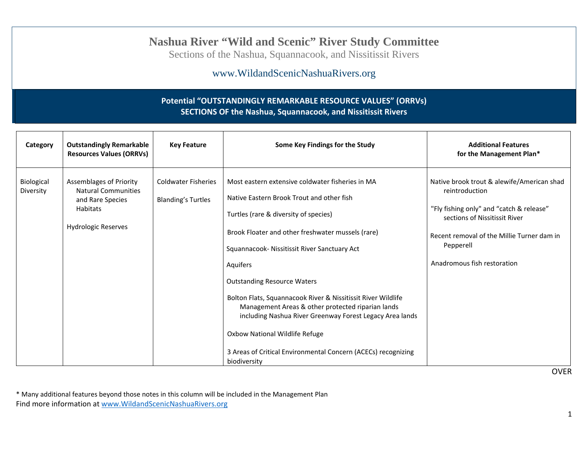## **Nashua River "Wild and Scenic" River Study Committee**

Sections of the Nashua, Squannacook, and Nissitissit Rivers

### www.WildandScenicNashuaRivers.org

### **Potential "OUTSTANDINGLY REMARKABLE RESOURCE VALUES" (ORRVs) SECTIONS OF the Nashua, Squannacook, and Nissitissit Rivers**

| Category                | <b>Outstandingly Remarkable</b><br><b>Resources Values (ORRVs)</b>                                                                | <b>Key Feature</b>                                      | Some Key Findings for the Study                                                                                                                                                                                                                                                                                                                                                                                                                                                                                                                                                                   | <b>Additional Features</b><br>for the Management Plan*                                                                                                                                                                                             |
|-------------------------|-----------------------------------------------------------------------------------------------------------------------------------|---------------------------------------------------------|---------------------------------------------------------------------------------------------------------------------------------------------------------------------------------------------------------------------------------------------------------------------------------------------------------------------------------------------------------------------------------------------------------------------------------------------------------------------------------------------------------------------------------------------------------------------------------------------------|----------------------------------------------------------------------------------------------------------------------------------------------------------------------------------------------------------------------------------------------------|
| Biological<br>Diversity | <b>Assemblages of Priority</b><br><b>Natural Communities</b><br>and Rare Species<br><b>Habitats</b><br><b>Hydrologic Reserves</b> | <b>Coldwater Fisheries</b><br><b>Blanding's Turtles</b> | Most eastern extensive coldwater fisheries in MA<br>Native Eastern Brook Trout and other fish<br>Turtles (rare & diversity of species)<br>Brook Floater and other freshwater mussels (rare)<br>Squannacook- Nissitissit River Sanctuary Act<br>Aquifers<br><b>Outstanding Resource Waters</b><br>Bolton Flats, Squannacook River & Nissitissit River Wildlife<br>Management Areas & other protected riparian lands<br>including Nashua River Greenway Forest Legacy Area lands<br>Oxbow National Wildlife Refuge<br>3 Areas of Critical Environmental Concern (ACECs) recognizing<br>biodiversity | Native brook trout & alewife/American shad<br>reintroduction<br>"Fly fishing only" and "catch & release"<br>sections of Nissitissit River<br>Recent removal of the Millie Turner dam in<br>Pepperell<br>Anadromous fish restoration<br><b>OVER</b> |

\* Many additional features beyond those notes in this column will be included in the Management Plan Find more information at www.WildandScenicNashuaRivers.org